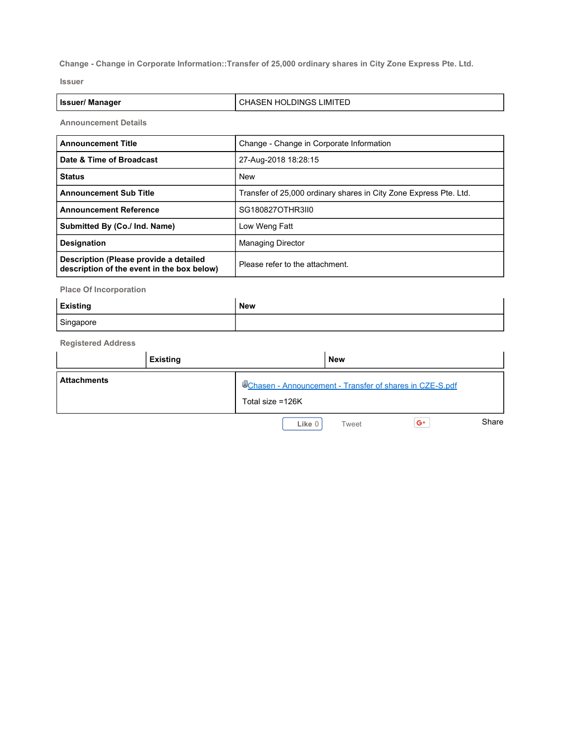**Change - Change in Corporate Information::Transfer of 25,000 ordinary shares in City Zone Express Pte. Ltd.**

**Issuer**

| <b>Issuer/ Manager</b> | l CHASEN HOLDINGS LIMITED |
|------------------------|---------------------------|
|------------------------|---------------------------|

**Announcement Details**

| <b>Announcement Title</b>                                                            | Change - Change in Corporate Information                          |  |  |
|--------------------------------------------------------------------------------------|-------------------------------------------------------------------|--|--|
| Date & Time of Broadcast                                                             | 27-Aug-2018 18:28:15                                              |  |  |
| <b>Status</b>                                                                        | <b>New</b>                                                        |  |  |
| <b>Announcement Sub Title</b>                                                        | Transfer of 25,000 ordinary shares in City Zone Express Pte. Ltd. |  |  |
| <b>Announcement Reference</b>                                                        | SG180827OTHR3II0                                                  |  |  |
| Submitted By (Co./ Ind. Name)                                                        | Low Weng Fatt                                                     |  |  |
| <b>Designation</b>                                                                   | <b>Managing Director</b>                                          |  |  |
| Description (Please provide a detailed<br>description of the event in the box below) | Please refer to the attachment.                                   |  |  |

**Place Of Incorporation**

| <b>Existing</b> | New |
|-----------------|-----|
| Singapore       |     |

**Registered Address**

|                    | <b>Existing</b> |                                                                             | <b>New</b> |      |       |
|--------------------|-----------------|-----------------------------------------------------------------------------|------------|------|-------|
| <b>Attachments</b> |                 | Chasen - Announcement - Transfer of shares in CZE-S.pdf<br>Total size =126K |            |      |       |
|                    |                 | Like 0                                                                      | Tweet      | $G+$ | Share |